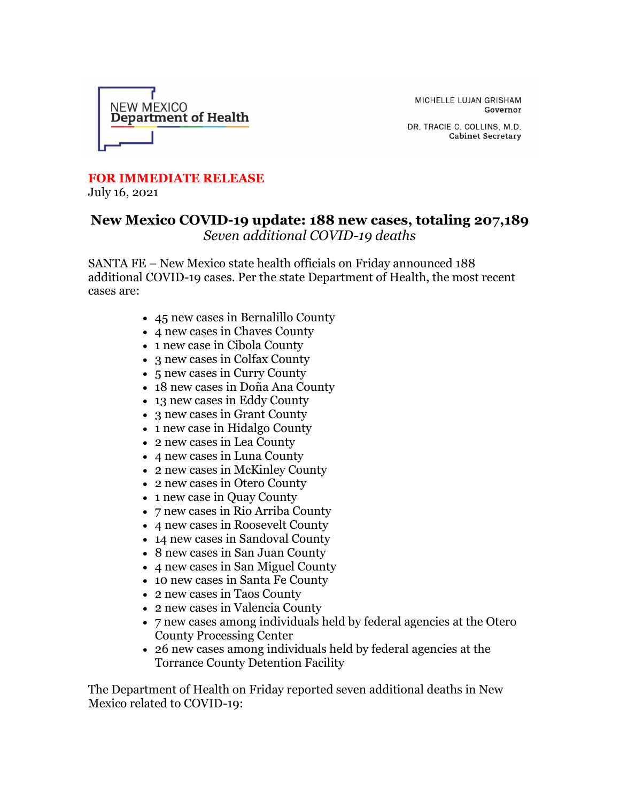

MICHELLE LUJAN GRISHAM Governor

DR. TRACIE C. COLLINS, M.D. **Cabinet Secretary** 

## **FOR IMMEDIATE RELEASE**

July 16, 2021

## **New Mexico COVID-19 update: 188 new cases, totaling 207,189** *Seven additional COVID-19 deaths*

SANTA FE – New Mexico state health officials on Friday announced 188 additional COVID-19 cases. Per the state Department of Health, the most recent cases are:

- 45 new cases in Bernalillo County
- 4 new cases in Chaves County
- 1 new case in Cibola County
- 3 new cases in Colfax County
- 5 new cases in Curry County
- 18 new cases in Doña Ana County
- 13 new cases in Eddy County
- 3 new cases in Grant County
- 1 new case in Hidalgo County
- 2 new cases in Lea County
- 4 new cases in Luna County
- 2 new cases in McKinley County
- 2 new cases in Otero County
- 1 new case in Quay County
- 7 new cases in Rio Arriba County
- 4 new cases in Roosevelt County
- 14 new cases in Sandoval County
- 8 new cases in San Juan County
- 4 new cases in San Miguel County
- 10 new cases in Santa Fe County
- 2 new cases in Taos County
- 2 new cases in Valencia County
- 7 new cases among individuals held by federal agencies at the Otero County Processing Center
- 26 new cases among individuals held by federal agencies at the Torrance County Detention Facility

The Department of Health on Friday reported seven additional deaths in New Mexico related to COVID-19: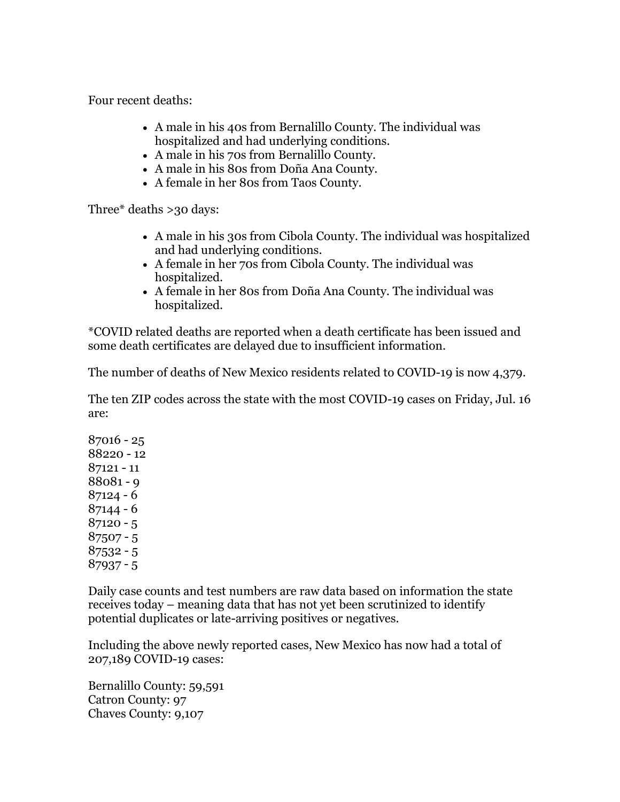Four recent deaths:

- A male in his 40s from Bernalillo County. The individual was hospitalized and had underlying conditions.
- A male in his 70s from Bernalillo County.
- A male in his 80s from Doña Ana County.
- A female in her 80s from Taos County.

Three\* deaths >30 days:

- A male in his 30s from Cibola County. The individual was hospitalized and had underlying conditions.
- A female in her 70s from Cibola County. The individual was hospitalized.
- A female in her 80s from Doña Ana County. The individual was hospitalized.

\*COVID related deaths are reported when a death certificate has been issued and some death certificates are delayed due to insufficient information.

The number of deaths of New Mexico residents related to COVID-19 is now 4,379.

The ten ZIP codes across the state with the most COVID-19 cases on Friday, Jul. 16 are:

Daily case counts and test numbers are raw data based on information the state receives today – meaning data that has not yet been scrutinized to identify potential duplicates or late-arriving positives or negatives.

Including the above newly reported cases, New Mexico has now had a total of 207,189 COVID-19 cases:

Bernalillo County: 59,591 Catron County: 97 Chaves County: 9,107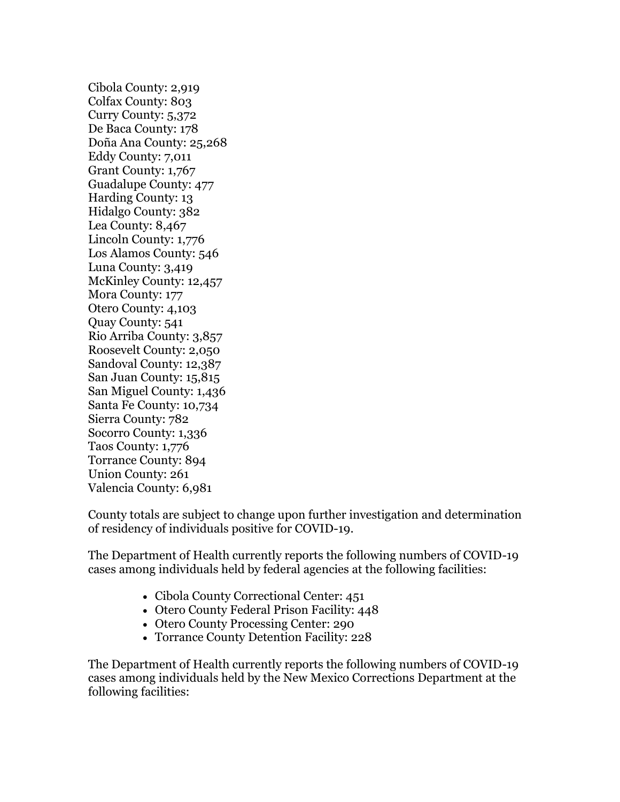Cibola County: 2,919 Colfax County: 803 Curry County: 5,372 De Baca County: 178 Doña Ana County: 25,268 Eddy County: 7,011 Grant County: 1,767 Guadalupe County: 477 Harding County: 13 Hidalgo County: 382 Lea County: 8,467 Lincoln County: 1,776 Los Alamos County: 546 Luna County: 3,419 McKinley County: 12,457 Mora County: 177 Otero County: 4,103 Quay County: 541 Rio Arriba County: 3,857 Roosevelt County: 2,050 Sandoval County: 12,387 San Juan County: 15,815 San Miguel County: 1,436 Santa Fe County: 10,734 Sierra County: 782 Socorro County: 1,336 Taos County: 1,776 Torrance County: 894 Union County: 261 Valencia County: 6,981

County totals are subject to change upon further investigation and determination of residency of individuals positive for COVID-19.

The Department of Health currently reports the following numbers of COVID-19 cases among individuals held by federal agencies at the following facilities:

- Cibola County Correctional Center: 451
- Otero County Federal Prison Facility: 448
- Otero County Processing Center: 290
- Torrance County Detention Facility: 228

The Department of Health currently reports the following numbers of COVID-19 cases among individuals held by the New Mexico Corrections Department at the following facilities: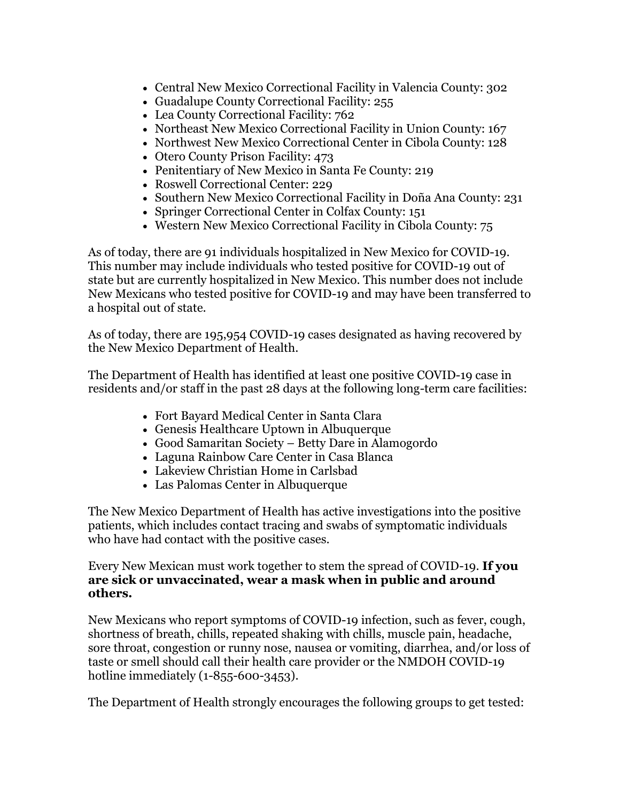- Central New Mexico Correctional Facility in Valencia County: 302
- Guadalupe County Correctional Facility: 255
- Lea County Correctional Facility: 762
- Northeast New Mexico Correctional Facility in Union County: 167
- Northwest New Mexico Correctional Center in Cibola County: 128
- Otero County Prison Facility: 473
- Penitentiary of New Mexico in Santa Fe County: 219
- Roswell Correctional Center: 229
- Southern New Mexico Correctional Facility in Doña Ana County: 231
- Springer Correctional Center in Colfax County: 151
- Western New Mexico Correctional Facility in Cibola County: 75

As of today, there are 91 individuals hospitalized in New Mexico for COVID-19. This number may include individuals who tested positive for COVID-19 out of state but are currently hospitalized in New Mexico. This number does not include New Mexicans who tested positive for COVID-19 and may have been transferred to a hospital out of state.

As of today, there are 195,954 COVID-19 cases designated as having recovered by the New Mexico Department of Health.

The Department of Health has identified at least one positive COVID-19 case in residents and/or staff in the past 28 days at the following long-term care facilities:

- Fort Bayard Medical Center in Santa Clara
- Genesis Healthcare Uptown in Albuquerque
- Good Samaritan Society Betty Dare in Alamogordo
- Laguna Rainbow Care Center in Casa Blanca
- Lakeview Christian Home in Carlsbad
- Las Palomas Center in Albuquerque

The New Mexico Department of Health has active investigations into the positive patients, which includes contact tracing and swabs of symptomatic individuals who have had contact with the positive cases.

## Every New Mexican must work together to stem the spread of COVID-19. **If you are sick or unvaccinated, wear a mask when in public and around others.**

New Mexicans who report symptoms of COVID-19 infection, such as fever, cough, shortness of breath, chills, repeated shaking with chills, muscle pain, headache, sore throat, congestion or runny nose, nausea or vomiting, diarrhea, and/or loss of taste or smell should call their health care provider or the NMDOH COVID-19 hotline immediately (1-855-600-3453).

The Department of Health strongly encourages the following groups to get tested: